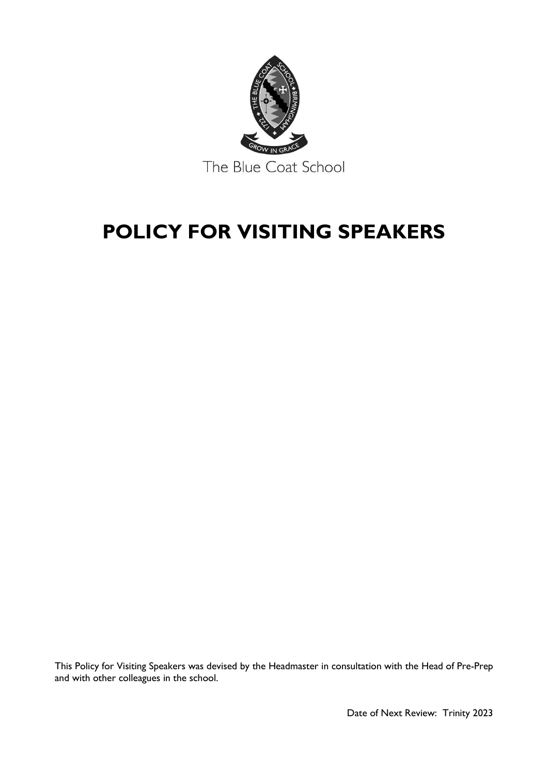

# **POLICY FOR VISITING SPEAKERS**

This Policy for Visiting Speakers was devised by the Headmaster in consultation with the Head of Pre-Prep and with other colleagues in the school.

Date of Next Review: Trinity 2023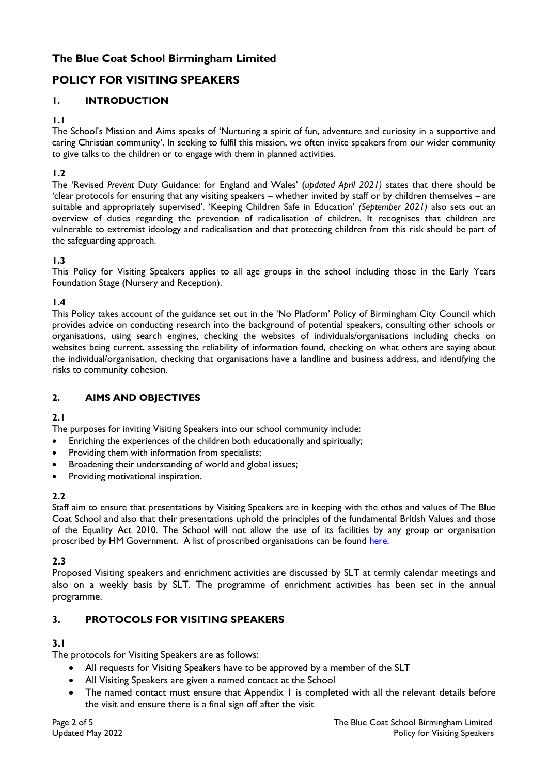# **The Blue Coat School Birmingham Limited**

# **POLICY FOR VISITING SPEAKERS**

# **1. INTRODUCTION**

#### **1.1**

The School's Mission and Aims speaks of 'Nurturing a spirit of fun, adventure and curiosity in a supportive and caring Christian community'. In seeking to fulfil this mission, we often invite speakers from our wider community to give talks to the children or to engage with them in planned activities.

# **1.2**

The 'Revised *Prevent* Duty Guidance: for England and Wales' (*updated April 2021)* states that there should be 'clear protocols for ensuring that any visiting speakers – whether invited by staff or by children themselves – are suitable and appropriately supervised'. 'Keeping Children Safe in Education' *(September 2021)* also sets out an overview of duties regarding the prevention of radicalisation of children. It recognises that children are vulnerable to extremist ideology and radicalisation and that protecting children from this risk should be part of the safeguarding approach.

## **1.3**

This Policy for Visiting Speakers applies to all age groups in the school including those in the Early Years Foundation Stage (Nursery and Reception).

#### **1.4**

This Policy takes account of the guidance set out in the 'No Platform' Policy of Birmingham City Council which provides advice on conducting research into the background of potential speakers, consulting other schools or organisations, using search engines, checking the websites of individuals/organisations including checks on websites being current, assessing the reliability of information found, checking on what others are saying about the individual/organisation, checking that organisations have a landline and business address, and identifying the risks to community cohesion.

# **2. AIMS AND OBJECTIVES**

#### **2.1**

The purposes for inviting Visiting Speakers into our school community include:

- Enriching the experiences of the children both educationally and spiritually;
- Providing them with information from specialists;
- Broadening their understanding of world and global issues;
- Providing motivational inspiration.

#### **2.2**

Staff aim to ensure that presentations by Visiting Speakers are in keeping with the ethos and values of The Blue Coat School and also that their presentations uphold the principles of the fundamental British Values and those of the Equality Act 2010. The School will not allow the use of its facilities by any group or organisation proscribed by HM Government. A list of proscribed organisations can be found [here.](https://www.gov.uk/government/publications/proscribed-terror-groups-or-organisations--2)

#### **2.3**

Proposed Visiting speakers and enrichment activities are discussed by SLT at termly calendar meetings and also on a weekly basis by SLT. The programme of enrichment activities has been set in the annual programme.

# **3. PROTOCOLS FOR VISITING SPEAKERS**

#### **3.1**

The protocols for Visiting Speakers are as follows:

- All requests for Visiting Speakers have to be approved by a member of the SLT
- All Visiting Speakers are given a named contact at the School
- The named contact must ensure that Appendix I is completed with all the relevant details before the visit and ensure there is a final sign off after the visit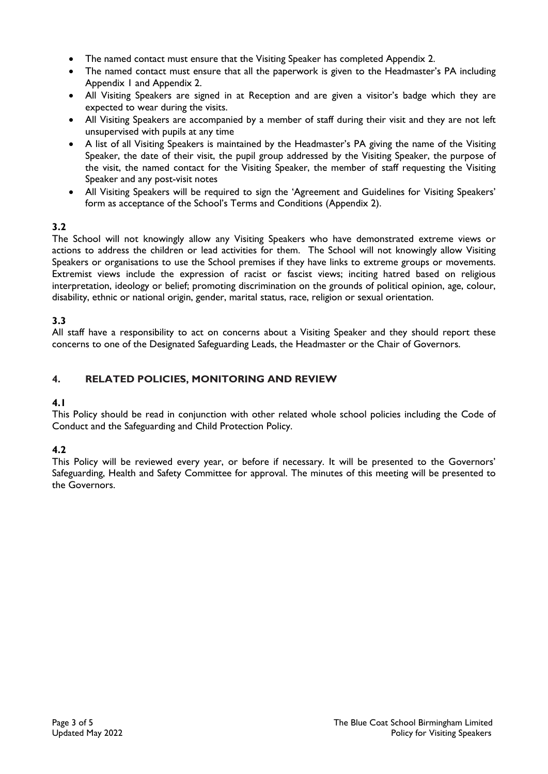- The named contact must ensure that the Visiting Speaker has completed Appendix 2.
- The named contact must ensure that all the paperwork is given to the Headmaster's PA including Appendix 1 and Appendix 2.
- All Visiting Speakers are signed in at Reception and are given a visitor's badge which they are expected to wear during the visits.
- All Visiting Speakers are accompanied by a member of staff during their visit and they are not left unsupervised with pupils at any time
- A list of all Visiting Speakers is maintained by the Headmaster's PA giving the name of the Visiting Speaker, the date of their visit, the pupil group addressed by the Visiting Speaker, the purpose of the visit, the named contact for the Visiting Speaker, the member of staff requesting the Visiting Speaker and any post-visit notes
- All Visiting Speakers will be required to sign the 'Agreement and Guidelines for Visiting Speakers' form as acceptance of the School's Terms and Conditions (Appendix 2).

# **3.2**

The School will not knowingly allow any Visiting Speakers who have demonstrated extreme views or actions to address the children or lead activities for them. The School will not knowingly allow Visiting Speakers or organisations to use the School premises if they have links to extreme groups or movements. Extremist views include the expression of racist or fascist views; inciting hatred based on religious interpretation, ideology or belief; promoting discrimination on the grounds of political opinion, age, colour, disability, ethnic or national origin, gender, marital status, race, religion or sexual orientation.

# **3.3**

All staff have a responsibility to act on concerns about a Visiting Speaker and they should report these concerns to one of the Designated Safeguarding Leads, the Headmaster or the Chair of Governors.

# **4. RELATED POLICIES, MONITORING AND REVIEW**

# **4.1**

This Policy should be read in conjunction with other related whole school policies including the Code of Conduct and the Safeguarding and Child Protection Policy.

# **4.2**

This Policy will be reviewed every year, or before if necessary. It will be presented to the Governors' Safeguarding, Health and Safety Committee for approval. The minutes of this meeting will be presented to the Governors.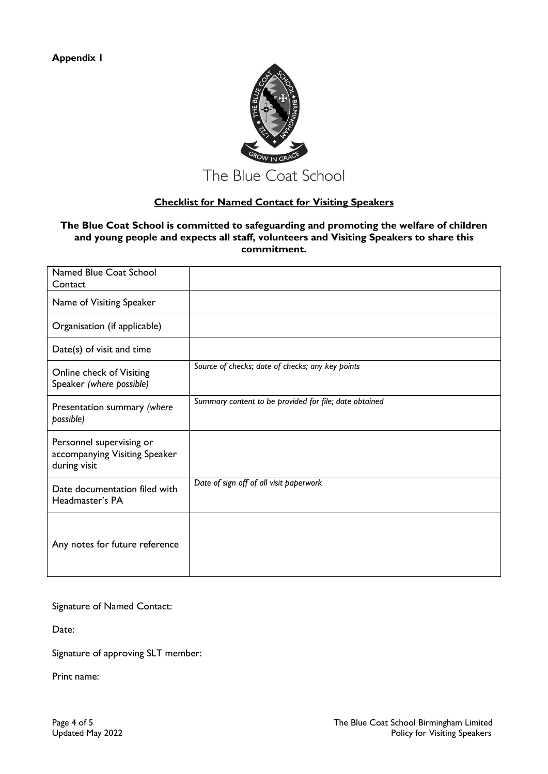

# **Checklist for Named Contact for Visiting Speakers**

#### **The Blue Coat School is committed to safeguarding and promoting the welfare of children and young people and expects all staff, volunteers and Visiting Speakers to share this commitment.**

| Named Blue Coat School<br>Contact                                         |                                                        |
|---------------------------------------------------------------------------|--------------------------------------------------------|
| Name of Visiting Speaker                                                  |                                                        |
| Organisation (if applicable)                                              |                                                        |
| Date(s) of visit and time                                                 |                                                        |
| Online check of Visiting<br>Speaker (where possible)                      | Source of checks; date of checks; any key points       |
| Presentation summary (where<br>possible)                                  | Summary content to be provided for file; date obtained |
| Personnel supervising or<br>accompanying Visiting Speaker<br>during visit |                                                        |
| Date documentation filed with<br>Headmaster's PA                          | Date of sign off of all visit paperwork                |
| Any notes for future reference                                            |                                                        |

#### Signature of Named Contact:

Date:

Signature of approving SLT member:

Print name: